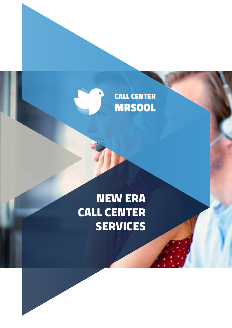## **CALL CENTER MRSOOL**

# NEW ERA CALL CENTER **SERVICES**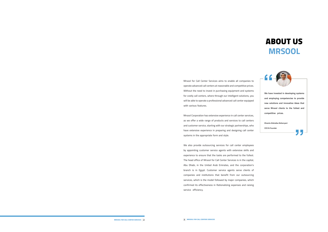**We have invested in developing systems and employing competencies to provide new solutions and innovative ideas that serve Mrsool clients to the fullest and competitive prices.**

77

**Khamis Alshaiba Alsheryani CEO & Founder**

## ABOUT US **MRSOOL**

**Mrsool for Call Center Services aims to enable all companies to operate advanced call centers at reasonable and competitive prices. Without the need to invest in purchasing equipment and systems for costly call centers, where through our intelligent solutions, you will be able to operate a professional advanced call center equipped with various features.**

**Mrsool Corporation has extensive experience in call center services, as we offer a wide range of products and services to call centers and customer service, starting with our strategic partnerships, who have extensive experience in preparing and designing call center systems in the appropriate form and style.**

**We also provide outsourcing services for call center employees by appointing customer service agents with extensive skills and experience to ensure that the tasks are performed to the fullest. The head office of Mrsool for Call Center Services is in the capital, Abu Dhabi, in the United Arab Emirates, and the corporation's branch is in Egypt. Customer service agents serve clients of companies and institutions that benefit from our outsourcing services, which is the model followed by major companies, which confirmed its effectiveness in Rationalizing expenses and raising service efficiency.**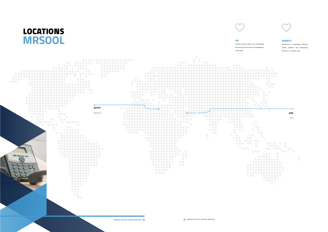

**Serving mrsool clients and maintaining the servces per the laws and regulations** 



#### BRANCH

**Specializes in employing customer service advisors and outsourcing services to handle calls.**

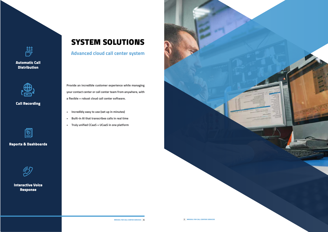နိဂ္ဂိနိ

### Automatic Call **Distribution**



### Call Recording



### Reports & Dashboards



### Interactive Voice Response

## SYSTEM SOLUTIONS

**Advanced cloud call center system**

**Provide an incredible customer experience while managing your contact center or call center team from anywhere, with a flexible + robust cloud call center software.**

- **• Incredibly easy to use (set up in minutes)**
- **• Built-in AI that transcribes calls in real time**
- **• Truly unified CCaaS + UCaaS in one platform**

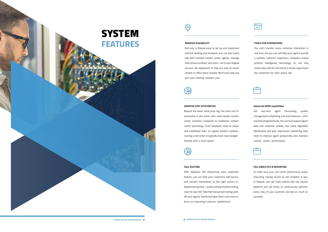#### TOOLS FOR SUPERVISORS

**You can't monitor every customer interaction in real time, but you can still help your agents provide a positive customer experience. Dialpad›s unique artificial intelligence technology, Vi, not only transcribes calls (in real time!), it shows supervisors the sentiment for each active call.**



### MASSIVE SCALABLILTY

**Not only is Dialpad easy to set up and implement without needing any hardware, you can also easily add (and remove) contact center agents, manage their phone numbers, and more—all in your Dialpad account. No equipment to ship out, and no server closets or office space needed. We›ll even help you port your existing numbers over.**

#### Advanced WEM capabilities

**Get real-time agent forecasting, quality management, scheduling, and more features—all in one fully integrated suite. You can turn support agent data and customer activity into easily digestible dashboards and give supervisors everything they need to improve agent productivity and maintain contact center performance.**



#### GREATER COST EFFICIENCIES

**Beyond the lower initial price tag, the total cost of ownership is also lower with cloud-based contact center solutions compared to traditional contact center technology. From hardware costs to setup and installation fees, to regular product updates, running a call center is typically much more budgetfriendly with a cloud option.**

#### CALL ANALYTICS & REPORTING

**To make sure your call center performance keeps improving, having access to call analytics is key. In Dialpad, you can track metrics like call volume patterns and call times to continuously optimize every step of your customer journey as much as possible.**

#### CALL ROUTING

**With Dialpad›s IVR (interactive voice response) feature, you can help your customers self-service and connect themselves to the right person or department quickly—just by setting intuitive routing rules for your IVR. Take that manual call routing work off your agents' hands (and give them more time to focus on improving customer satisfaction).**

 $\frac{1}{\left\langle \cdot \right\rangle}$ 



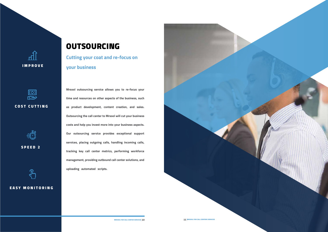पृष्ट IMPROVE



### COST CUTTING



SPEED 2

### EASY MONITORING

## OUTSOURCING

**Cutting your coat and re-focus on your business**

**Mrsool outsourcing service allows you to re-focus your time and resources on other aspects of the business, such as product development, content creation, and sales. Outsourcing the call center to Mrsool will cut your business costs and help you invest more into your business aspects. Our outsourcing service provides exceptional support services, placing outgoing calls, handling incoming calls, tracking key call center metrics, performing workforce management, providing outbound call center solutions, and uploading automated scripts.**

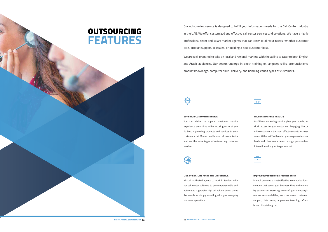#### INCREASED SALES RESULTS

**A -24hour answering service gives you round-theclock access to your customers. Engaging directly with customers is the most effective way to increase sales. With a 7/24 call center, you can generate more leads and close more deals through personalized interaction with your target market.**



### SUPERIOR CUSTOMER SERVICE

**You can deliver a superior customer service experience every time while focusing on what you do best – providing products and services to your customers. Let Mrsool handle your call center tasks and see the advantages of outsourcing customer service!**

#### Improved productivity & reduced costs

**Mrsool provides a cost-effective communications solution that saves your business time and money by seamlessly executing many of your company's routine responsibilities, such as sales, customer support, data entry, appointment-setting, afterhours dispatching, etc.** 

#### LIVE OPERATORS MAKE THE DIFFERENCE

**Mrsool motivated agents to work in tandem with our call center software to provide personable and automated support for high call volume times, crises like recalls, or simply assisting with your everyday business operations.**

**Our outsourcing service is designed to fulfill your information needs for the Call Center Industry in the UAE. We offer customized and effective call center services and solutions. We have a highly professional team and savvy market agents that can cater to all your needs, whether customer care, product support, telesales, or building a new customer base. We are well prepared to take on local and regional markets with the ability to cater to both English and Arabic audiences. Our agents undergo in-depth training on language skills, pronunciations, product knowledge, computer skills, delivery, and handling varied types of customers.** 

## OUTSOURCING **FEATURES**

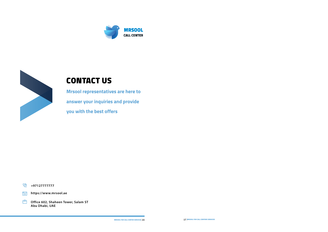



## CONTACT US

**Mrsool representatives are here to answer your inquiries and provide you with the best offers**

 $\overline{\overline{\overline{\overline{}}}}$ **https://www.mrsool.ae**

自 **Office 602, Shaheen Tower, Salam ST Abu Dhabi, UAE**